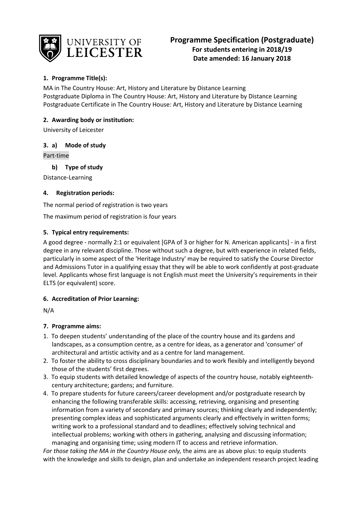

# **1. Programme Title(s):**

MA in The Country House: Art, History and Literature by Distance Learning Postgraduate Diploma in The Country House: Art, History and Literature by Distance Learning Postgraduate Certificate in The Country House: Art, History and Literature by Distance Learning

# **2. Awarding body or institution:**

University of Leicester

# **3. a) Mode of study**

Part-time

**b) Type of study**

Distance-Learning

# **4. Registration periods:**

The normal period of registration is two years

The maximum period of registration is four years

# **5. Typical entry requirements:**

A good degree - normally 2:1 or equivalent [GPA of 3 or higher for N. American applicants] - in a first degree in any relevant discipline. Those without such a degree, but with experience in related fields, particularly in some aspect of the 'Heritage Industry' may be required to satisfy the Course Director and Admissions Tutor in a qualifying essay that they will be able to work confidently at post-graduate level. Applicants whose first language is not English must meet the University's requirements in their ELTS (or equivalent) score.

# **6. Accreditation of Prior Learning:**

N/A

# **7. Programme aims:**

- 1. To deepen students' understanding of the place of the country house and its gardens and landscapes, as a consumption centre, as a centre for ideas, as a generator and 'consumer' of architectural and artistic activity and as a centre for land management.
- 2. To foster the ability to cross disciplinary boundaries and to work flexibly and intelligently beyond those of the students' first degrees.
- 3. To equip students with detailed knowledge of aspects of the country house, notably eighteenthcentury architecture; gardens; and furniture.
- 4. To prepare students for future careers/career development and/or postgraduate research by enhancing the following transferable skills: accessing, retrieving, organising and presenting information from a variety of secondary and primary sources; thinking clearly and independently; presenting complex ideas and sophisticated arguments clearly and effectively in written forms; writing work to a professional standard and to deadlines; effectively solving technical and intellectual problems; working with others in gathering, analysing and discussing information; managing and organising time; using modern IT to access and retrieve information.

*For those taking the MA in the Country House only,* the aims are as above plus: to equip students with the knowledge and skills to design, plan and undertake an independent research project leading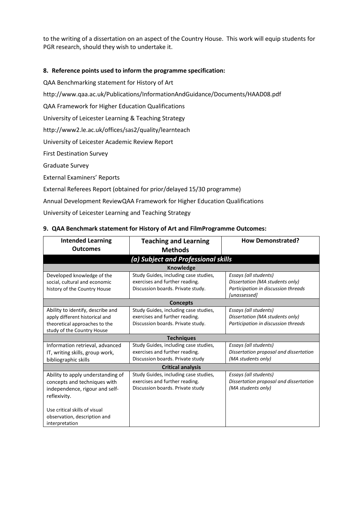to the writing of a dissertation on an aspect of the Country House. This work will equip students for PGR research, should they wish to undertake it.

### **8. Reference points used to inform the programme specification:**

QAA Benchmarking statement for History of Art

http://www.qaa.ac.uk/Publications/InformationAndGuidance/Documents/HAAD08.pdf

QAA Framework for Higher Education Qualifications

University of Leicester Learning & Teaching Strategy

http://www2.le.ac.uk/offices/sas2/quality/learnteach

University of Leicester Academic Review Report

First Destination Survey

Graduate Survey

External Examiners' Reports

External Referees Report (obtained for prior/delayed 15/30 programme)

Annual Development ReviewQAA Framework for Higher Education Qualifications

University of Leicester Learning and Teaching Strategy

#### **9. QAA Benchmark statement for History of Art and FilmProgramme Outcomes:**

| <b>Intended Learning</b>            | <b>Teaching and Learning</b>          | <b>How Demonstrated?</b>               |  |  |
|-------------------------------------|---------------------------------------|----------------------------------------|--|--|
| <b>Outcomes</b>                     | <b>Methods</b>                        |                                        |  |  |
| (a) Subject and Professional skills |                                       |                                        |  |  |
|                                     | <b>Knowledge</b>                      |                                        |  |  |
| Developed knowledge of the          | Study Guides, including case studies, | Essays (all students)                  |  |  |
| social, cultural and economic       | exercises and further reading.        | Dissertation (MA students only)        |  |  |
| history of the Country House        | Discussion boards. Private study.     | Participation in discussion threads    |  |  |
|                                     |                                       | [unassessed]                           |  |  |
|                                     | <b>Concepts</b>                       |                                        |  |  |
| Ability to identify, describe and   | Study Guides, including case studies, | Essays (all students)                  |  |  |
| apply different historical and      | exercises and further reading.        | Dissertation (MA students only)        |  |  |
| theoretical approaches to the       | Discussion boards. Private study.     | Participation in discussion threads    |  |  |
| study of the Country House          |                                       |                                        |  |  |
|                                     | <b>Techniques</b>                     |                                        |  |  |
| Information retrieval, advanced     | Study Guides, including case studies, | Essays (all students)                  |  |  |
| IT, writing skills, group work,     | exercises and further reading.        | Dissertation proposal and dissertation |  |  |
| bibliographic skills                | Discussion boards. Private study      | (MA students only)                     |  |  |
|                                     | <b>Critical analysis</b>              |                                        |  |  |
| Ability to apply understanding of   | Study Guides, including case studies, | Essays (all students)                  |  |  |
| concepts and techniques with        | exercises and further reading.        | Dissertation proposal and dissertation |  |  |
| independence, rigour and self-      | Discussion boards. Private study      | (MA students only)                     |  |  |
| reflexivity.                        |                                       |                                        |  |  |
|                                     |                                       |                                        |  |  |
| Use critical skills of visual       |                                       |                                        |  |  |
| observation, description and        |                                       |                                        |  |  |
| interpretation                      |                                       |                                        |  |  |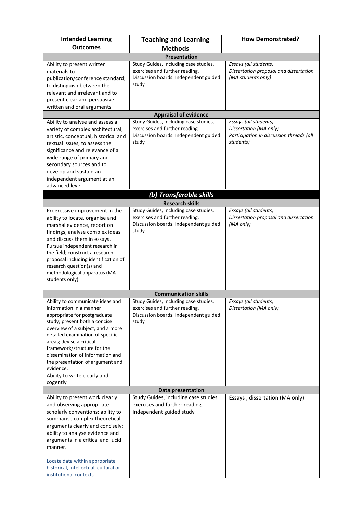| <b>Intended Learning</b>                                                                                                                                                                                                                                                                                                                                                                                                                                                                                                                                                                                                                                                                                                                                | <b>Teaching and Learning</b>                                                                                                                                                                                                                                                          | <b>How Demonstrated?</b>                                                                                                        |  |  |  |
|---------------------------------------------------------------------------------------------------------------------------------------------------------------------------------------------------------------------------------------------------------------------------------------------------------------------------------------------------------------------------------------------------------------------------------------------------------------------------------------------------------------------------------------------------------------------------------------------------------------------------------------------------------------------------------------------------------------------------------------------------------|---------------------------------------------------------------------------------------------------------------------------------------------------------------------------------------------------------------------------------------------------------------------------------------|---------------------------------------------------------------------------------------------------------------------------------|--|--|--|
| <b>Outcomes</b>                                                                                                                                                                                                                                                                                                                                                                                                                                                                                                                                                                                                                                                                                                                                         | <b>Methods</b>                                                                                                                                                                                                                                                                        |                                                                                                                                 |  |  |  |
|                                                                                                                                                                                                                                                                                                                                                                                                                                                                                                                                                                                                                                                                                                                                                         | <b>Presentation</b>                                                                                                                                                                                                                                                                   |                                                                                                                                 |  |  |  |
| Ability to present written<br>materials to<br>publication/conference standard;<br>to distinguish between the<br>relevant and irrelevant and to<br>present clear and persuasive                                                                                                                                                                                                                                                                                                                                                                                                                                                                                                                                                                          | Study Guides, including case studies,<br>exercises and further reading.<br>Discussion boards. Independent guided<br>study                                                                                                                                                             | Essays (all students)<br>Dissertation proposal and dissertation<br>(MA students only)                                           |  |  |  |
| written and oral arguments                                                                                                                                                                                                                                                                                                                                                                                                                                                                                                                                                                                                                                                                                                                              |                                                                                                                                                                                                                                                                                       |                                                                                                                                 |  |  |  |
|                                                                                                                                                                                                                                                                                                                                                                                                                                                                                                                                                                                                                                                                                                                                                         | <b>Appraisal of evidence</b>                                                                                                                                                                                                                                                          |                                                                                                                                 |  |  |  |
| Ability to analyse and assess a<br>variety of complex architectural,<br>artistic, conceptual, historical and<br>textual issues, to assess the<br>significance and relevance of a<br>wide range of primary and<br>secondary sources and to                                                                                                                                                                                                                                                                                                                                                                                                                                                                                                               | Study Guides, including case studies,<br>exercises and further reading.<br>Discussion boards. Independent guided<br>study                                                                                                                                                             | Essays (all students)<br>Dissertation (MA only)<br>Participation in discussion threads (all<br>students)                        |  |  |  |
| develop and sustain an<br>independent argument at an                                                                                                                                                                                                                                                                                                                                                                                                                                                                                                                                                                                                                                                                                                    |                                                                                                                                                                                                                                                                                       |                                                                                                                                 |  |  |  |
| advanced level.                                                                                                                                                                                                                                                                                                                                                                                                                                                                                                                                                                                                                                                                                                                                         |                                                                                                                                                                                                                                                                                       |                                                                                                                                 |  |  |  |
|                                                                                                                                                                                                                                                                                                                                                                                                                                                                                                                                                                                                                                                                                                                                                         | (b) Transferable skills                                                                                                                                                                                                                                                               |                                                                                                                                 |  |  |  |
|                                                                                                                                                                                                                                                                                                                                                                                                                                                                                                                                                                                                                                                                                                                                                         | <b>Research skills</b>                                                                                                                                                                                                                                                                |                                                                                                                                 |  |  |  |
| Progressive improvement in the<br>ability to locate, organise and<br>marshal evidence, report on<br>findings, analyse complex ideas<br>and discuss them in essays.<br>Pursue independent research in<br>the field; construct a research<br>proposal including identification of<br>research question(s) and<br>methodological apparatus (MA<br>students only).<br>Ability to communicate ideas and<br>information in a manner<br>appropriate for postgraduate<br>study; present both a concise<br>overview of a subject, and a more<br>detailed examination of specific<br>areas; devise a critical<br>framework/structure for the<br>dissemination of information and<br>the presentation of argument and<br>evidence.<br>Ability to write clearly and | Study Guides, including case studies,<br>exercises and further reading.<br>Discussion boards. Independent guided<br>study<br><b>Communication skills</b><br>Study Guides, including case studies,<br>exercises and further reading.<br>Discussion boards. Independent guided<br>study | Essays (all students)<br>Dissertation proposal and dissertation<br>(MA only)<br>Essays (all students)<br>Dissertation (MA only) |  |  |  |
| cogently                                                                                                                                                                                                                                                                                                                                                                                                                                                                                                                                                                                                                                                                                                                                                |                                                                                                                                                                                                                                                                                       |                                                                                                                                 |  |  |  |
|                                                                                                                                                                                                                                                                                                                                                                                                                                                                                                                                                                                                                                                                                                                                                         | Data presentation                                                                                                                                                                                                                                                                     |                                                                                                                                 |  |  |  |
| Ability to present work clearly<br>and observing appropriate<br>scholarly conventions; ability to<br>summarise complex theoretical<br>arguments clearly and concisely;<br>ability to analyse evidence and<br>arguments in a critical and lucid<br>manner.<br>Locate data within appropriate<br>historical, intellectual, cultural or                                                                                                                                                                                                                                                                                                                                                                                                                    | Study Guides, including case studies,<br>exercises and further reading.<br>Independent guided study                                                                                                                                                                                   | Essays, dissertation (MA only)                                                                                                  |  |  |  |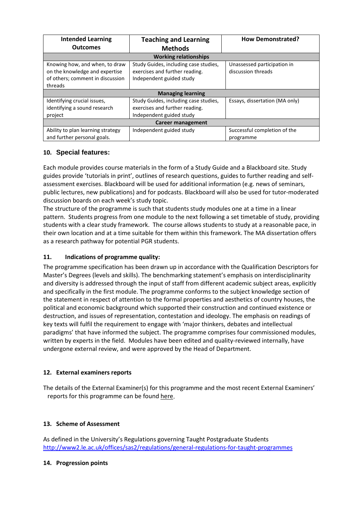| <b>Intended Learning</b>          | <b>Teaching and Learning</b>          | <b>How Demonstrated?</b>       |  |
|-----------------------------------|---------------------------------------|--------------------------------|--|
| <b>Outcomes</b>                   | <b>Methods</b>                        |                                |  |
| <b>Working relationships</b>      |                                       |                                |  |
| Knowing how, and when, to draw    | Study Guides, including case studies, | Unassessed participation in    |  |
| on the knowledge and expertise    | exercises and further reading.        | discussion threads             |  |
| of others; comment in discussion  | Independent guided study              |                                |  |
| threads                           |                                       |                                |  |
| <b>Managing learning</b>          |                                       |                                |  |
| Identifying crucial issues,       | Study Guides, including case studies, | Essays, dissertation (MA only) |  |
| identifying a sound research      | exercises and further reading.        |                                |  |
| project                           | Independent guided study              |                                |  |
| <b>Career management</b>          |                                       |                                |  |
| Ability to plan learning strategy | Independent guided study              | Successful completion of the   |  |
| and further personal goals.       |                                       | programme                      |  |

# **10. Special features:**

Each module provides course materials in the form of a Study Guide and a Blackboard site. Study guides provide 'tutorials in print', outlines of research questions, guides to further reading and selfassessment exercises. Blackboard will be used for additional information (e.g. news of seminars, public lectures, new publications) and for podcasts. Blackboard will also be used for tutor-moderated discussion boards on each week's study topic.

The structure of the programme is such that students study modules one at a time in a linear pattern. Students progress from one module to the next following a set timetable of study, providing students with a clear study framework. The course allows students to study at a reasonable pace, in their own location and at a time suitable for them within this framework. The MA dissertation offers as a research pathway for potential PGR students.

# **11. Indications of programme quality:**

The programme specification has been drawn up in accordance with the Qualification Descriptors for Master's Degrees (levels and skills). The benchmarking statement's emphasis on interdisciplinarity and diversity is addressed through the input of staff from different academic subject areas, explicitly and specifically in the first module. The programme conforms to the subject knowledge section of the statement in respect of attention to the formal properties and aesthetics of country houses, the political and economic background which supported their construction and continued existence or destruction, and issues of representation, contestation and ideology. The emphasis on readings of key texts will fulfil the requirement to engage with 'major thinkers, debates and intellectual paradigms' that have informed the subject. The programme comprises four commissioned modules, written by experts in the field. Modules have been edited and quality-reviewed internally, have undergone external review, and were approved by the Head of Department.

# **12. External examiners reports**

The details of the External Examiner(s) for this programme and the most recent External Examiners' reports for this programme can be foun[d here.](https://exampapers.le.ac.uk/xmlui/)

# **13. Scheme of Assessment**

As defined in the University's Regulations governing Taught Postgraduate Students <http://www2.le.ac.uk/offices/sas2/regulations/general-regulations-for-taught-programmes>

#### **14. Progression points**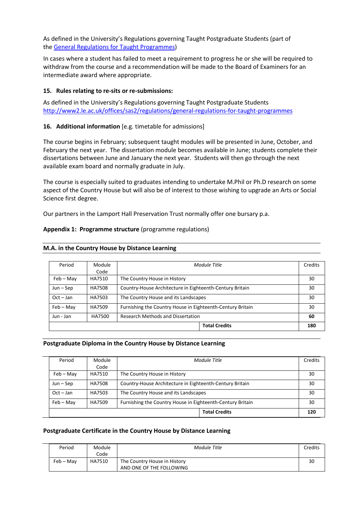As defined in the University's Regulations governing Taught Postgraduate Students (part of the [General Regulations for Taught Programmes\)](http://www2.le.ac.uk/offices/sas2/regulations/general-regulations-for-taught-programmes)

In cases where a student has failed to meet a requirement to progress he or she will be required to withdraw from the course and a recommendation will be made to the Board of Examiners for an intermediate award where appropriate.

#### **15. Rules relating to re-sits or re-submissions:**

As defined in the University's Regulations governing Taught Postgraduate Students <http://www2.le.ac.uk/offices/sas2/regulations/general-regulations-for-taught-programmes>

#### **16. Additional information** [e.g. timetable for admissions]

The course begins in February; subsequent taught modules will be presented in June, October, and February the next year. The dissertation module becomes available in June; students complete their dissertations between June and January the next year. Students will then go through the next available exam board and normally graduate in July.

The course is especially suited to graduates intending to undertake M.Phil or Ph.D research on some aspect of the Country House but will also be of interest to those wishing to upgrade an Arts or Social Science first degree.

Our partners in the Lamport Hall Preservation Trust normally offer one bursary p.a.

#### **Appendix 1: Programme structure** (programme regulations)

| Period      | Module | Module Title                                               | Credits |
|-------------|--------|------------------------------------------------------------|---------|
|             |        |                                                            |         |
|             | Code   |                                                            |         |
| $Feb - May$ | HA7510 | The Country House in History                               | 30      |
|             |        |                                                            |         |
| $Jun - Sep$ | HA7508 | Country-House Architecture in Eighteenth-Century Britain   | 30      |
|             |        |                                                            |         |
| $Oct - Jan$ | HA7503 | The Country House and its Landscapes                       | 30      |
| $Feb - May$ | HA7509 | Furnishing the Country House in Eighteenth-Century Britain |         |
|             |        |                                                            | 30      |
| Jun - Jan   | HA7500 | Research Methods and Dissertation                          | 60      |
|             |        |                                                            |         |
|             |        | <b>Total Credits</b>                                       | 180     |

#### **M.A. in the Country House by Distance Learning**

#### **Postgraduate Diploma in the Country House by Distance Learning**

| Period      | Module | Module Title                                                                                       | Credits |
|-------------|--------|----------------------------------------------------------------------------------------------------|---------|
|             | Code   |                                                                                                    |         |
| $Feb - May$ | HA7510 | The Country House in History                                                                       | 30      |
| $Jun - Sep$ | HA7508 | Country-House Architecture in Eighteenth-Century Britain                                           | 30      |
| $Oct - Jan$ | HA7503 | The Country House and its Landscapes<br>Furnishing the Country House in Eighteenth-Century Britain |         |
| $Feb - May$ | HA7509 |                                                                                                    |         |
|             |        | <b>Total Credits</b>                                                                               | 120     |

#### **Postgraduate Certificate in the Country House by Distance Learning**

| Period    | Module<br>Code | Module Title                 | Credits |
|-----------|----------------|------------------------------|---------|
|           |                |                              |         |
| Feb – Mav | HA7510         | The Country House in History | 30      |
|           |                | AND ONE OF THE FOLLOWING     |         |